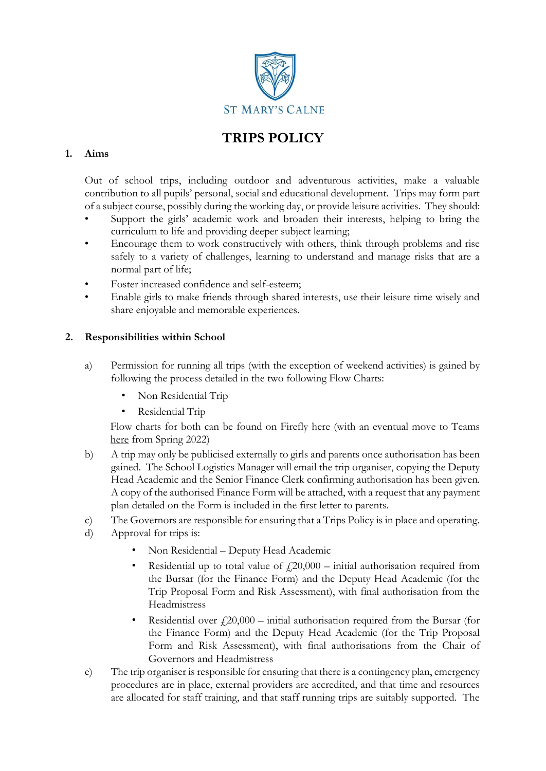

# **TRIPS POLICY**

## **1. Aims**

Out of school trips, including outdoor and adventurous activities, make a valuable contribution to all pupils' personal, social and educational development. Trips may form part of a subject course, possibly during the working day, or provide leisure activities. They should:

- Support the girls' academic work and broaden their interests, helping to bring the curriculum to life and providing deeper subject learning;
- Encourage them to work constructively with others, think through problems and rise safely to a variety of challenges, learning to understand and manage risks that are a normal part of life;
- Foster increased confidence and self-esteem;
- Enable girls to make friends through shared interests, use their leisure time wisely and share enjoyable and memorable experiences.

## **2. Responsibilities within School**

- a) Permission for running all trips (with the exception of weekend activities) is gained by following the process detailed in the two following Flow Charts:
	- Non Residential Trip
	- Residential Trip

Flow charts for both can be found on Firefly [here](https://stmaryscalne.fireflycloud.net/school-trips) (with an eventual move to Teams [here](https://teams.microsoft.com/l/entity/0ae35b36-0fd7-422e-805b-d53af1579093/_djb2_msteams_prefix_250901300?context=%7B%22subEntityId%22%3Anull%2C%22channelId%22%3A%2219%3A5d729a4f05e548f6a2f4e63df748076d%40thread.tacv2%22%7D&groupId=1b63bb80-924d-4d4e-abbe-af78d626fa5d&tenantId=1331394a-5c17-48ba-afc6-5deda872615c) from Spring 2022)

- b) A trip may only be publicised externally to girls and parents once authorisation has been gained. The School Logistics Manager will email the trip organiser, copying the Deputy Head Academic and the Senior Finance Clerk confirming authorisation has been given. A copy of the authorised Finance Form will be attached, with a request that any payment plan detailed on the Form is included in the first letter to parents.
- c) The Governors are responsible for ensuring that a Trips Policy is in place and operating.
- d) Approval for trips is:
	- Non Residential Deputy Head Academic
	- Residential up to total value of  $f(20,000 \text{initial authorization required from})$ the Bursar (for the Finance Form) and the Deputy Head Academic (for the Trip Proposal Form and Risk Assessment), with final authorisation from the Headmistress
	- Residential over  $\ell$  20,000 initial authorisation required from the Bursar (for the Finance Form) and the Deputy Head Academic (for the Trip Proposal Form and Risk Assessment), with final authorisations from the Chair of Governors and Headmistress
- e) The trip organiser is responsible for ensuring that there is a contingency plan, emergency procedures are in place, external providers are accredited, and that time and resources are allocated for staff training, and that staff running trips are suitably supported. The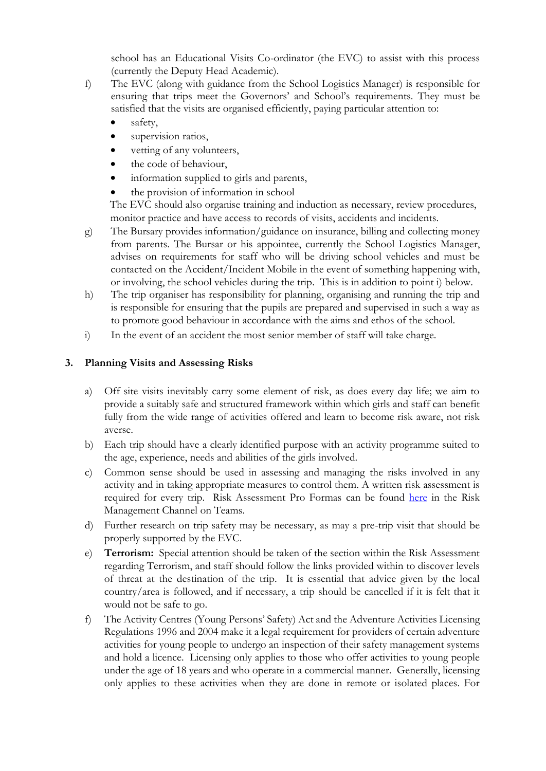school has an Educational Visits Co-ordinator (the EVC) to assist with this process (currently the Deputy Head Academic).

- f) The EVC (along with guidance from the School Logistics Manager) is responsible for ensuring that trips meet the Governors' and School's requirements. They must be satisfied that the visits are organised efficiently, paying particular attention to:
	- safety,
	- supervision ratios,
	- vetting of any volunteers,
	- the code of behaviour,
	- information supplied to girls and parents,
	- the provision of information in school

The EVC should also organise training and induction as necessary, review procedures, monitor practice and have access to records of visits, accidents and incidents.

- g) The Bursary provides information/guidance on insurance, billing and collecting money from parents. The Bursar or his appointee, currently the School Logistics Manager, advises on requirements for staff who will be driving school vehicles and must be contacted on the Accident/Incident Mobile in the event of something happening with, or involving, the school vehicles during the trip. This is in addition to point i) below.
- h) The trip organiser has responsibility for planning, organising and running the trip and is responsible for ensuring that the pupils are prepared and supervised in such a way as to promote good behaviour in accordance with the aims and ethos of the school.
- i) In the event of an accident the most senior member of staff will take charge.

### **3. Planning Visits and Assessing Risks**

- a) Off site visits inevitably carry some element of risk, as does every day life; we aim to provide a suitably safe and structured framework within which girls and staff can benefit fully from the wide range of activities offered and learn to become risk aware, not risk averse.
- b) Each trip should have a clearly identified purpose with an activity programme suited to the age, experience, needs and abilities of the girls involved.
- c) Common sense should be used in assessing and managing the risks involved in any activity and in taking appropriate measures to control them. A written risk assessment is required for every trip. Risk Assessment Pro Formas can be found [here](https://teams.microsoft.com/l/channel/19%3aea9ad28076d54e8390c1171696fd9774%40thread.tacv2/Risk%2520Management?groupId=1b63bb80-924d-4d4e-abbe-af78d626fa5d&tenantId=1331394a-5c17-48ba-afc6-5deda872615c) in the Risk Management Channel on Teams.
- d) Further research on trip safety may be necessary, as may a pre-trip visit that should be properly supported by the EVC.
- e) **Terrorism:** Special attention should be taken of the section within the Risk Assessment regarding Terrorism, and staff should follow the links provided within to discover levels of threat at the destination of the trip. It is essential that advice given by the local country/area is followed, and if necessary, a trip should be cancelled if it is felt that it would not be safe to go.
- f) The Activity Centres (Young Persons' Safety) Act and the Adventure Activities Licensing Regulations 1996 and 2004 make it a legal requirement for providers of certain adventure activities for young people to undergo an inspection of their safety management systems and hold a licence. Licensing only applies to those who offer activities to young people under the age of 18 years and who operate in a commercial manner. Generally, licensing only applies to these activities when they are done in remote or isolated places. For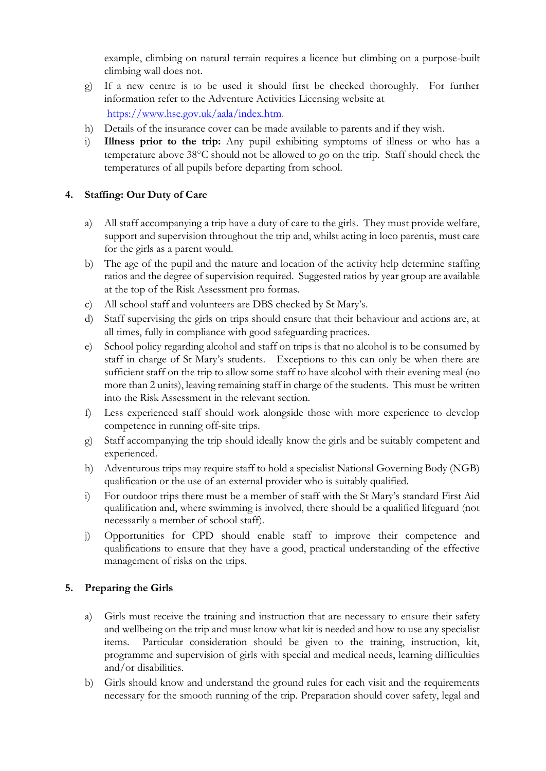example, climbing on natural terrain requires a licence but climbing on a purpose-built climbing wall does not.

- g) If a new centre is to be used it should first be checked thoroughly. For further information refer to the Adventure Activities Licensing website at [https://www.hse.gov.uk/aala/index.htm.](https://www.hse.gov.uk/aala/index.htm)
- h) Details of the insurance cover can be made available to parents and if they wish.
- i) **Illness prior to the trip:** Any pupil exhibiting symptoms of illness or who has a temperature above 38○C should not be allowed to go on the trip. Staff should check the temperatures of all pupils before departing from school.

## **4. Staffing: Our Duty of Care**

- a) All staff accompanying a trip have a duty of care to the girls. They must provide welfare, support and supervision throughout the trip and, whilst acting in loco parentis, must care for the girls as a parent would.
- b) The age of the pupil and the nature and location of the activity help determine staffing ratios and the degree of supervision required. Suggested ratios by year group are available at the top of the Risk Assessment pro formas.
- c) All school staff and volunteers are DBS checked by St Mary's.
- d) Staff supervising the girls on trips should ensure that their behaviour and actions are, at all times, fully in compliance with good safeguarding practices.
- e) School policy regarding alcohol and staff on trips is that no alcohol is to be consumed by staff in charge of St Mary's students. Exceptions to this can only be when there are sufficient staff on the trip to allow some staff to have alcohol with their evening meal (no more than 2 units), leaving remaining staff in charge of the students. This must be written into the Risk Assessment in the relevant section.
- f) Less experienced staff should work alongside those with more experience to develop competence in running off-site trips.
- g) Staff accompanying the trip should ideally know the girls and be suitably competent and experienced.
- h) Adventurous trips may require staff to hold a specialist National Governing Body (NGB) qualification or the use of an external provider who is suitably qualified.
- i) For outdoor trips there must be a member of staff with the St Mary's standard First Aid qualification and, where swimming is involved, there should be a qualified lifeguard (not necessarily a member of school staff).
- j) Opportunities for CPD should enable staff to improve their competence and qualifications to ensure that they have a good, practical understanding of the effective management of risks on the trips.

## **5. Preparing the Girls**

- a) Girls must receive the training and instruction that are necessary to ensure their safety and wellbeing on the trip and must know what kit is needed and how to use any specialist items. Particular consideration should be given to the training, instruction, kit, programme and supervision of girls with special and medical needs, learning difficulties and/or disabilities.
- b) Girls should know and understand the ground rules for each visit and the requirements necessary for the smooth running of the trip. Preparation should cover safety, legal and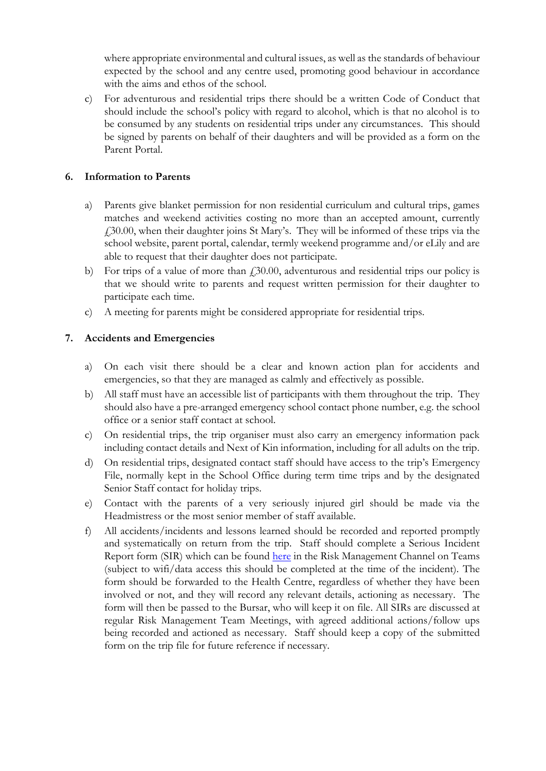where appropriate environmental and cultural issues, as well as the standards of behaviour expected by the school and any centre used, promoting good behaviour in accordance with the aims and ethos of the school.

c) For adventurous and residential trips there should be a written Code of Conduct that should include the school's policy with regard to alcohol, which is that no alcohol is to be consumed by any students on residential trips under any circumstances. This should be signed by parents on behalf of their daughters and will be provided as a form on the Parent Portal.

## **6. Information to Parents**

- a) Parents give blanket permission for non residential curriculum and cultural trips, games matches and weekend activities costing no more than an accepted amount, currently £30.00, when their daughter joins St Mary's. They will be informed of these trips via the school website, parent portal, calendar, termly weekend programme and/or eLily and are able to request that their daughter does not participate.
- b) For trips of a value of more than  $\ell$  30.00, adventurous and residential trips our policy is that we should write to parents and request written permission for their daughter to participate each time.
- c) A meeting for parents might be considered appropriate for residential trips.

### **7. Accidents and Emergencies**

- a) On each visit there should be a clear and known action plan for accidents and emergencies, so that they are managed as calmly and effectively as possible.
- b) All staff must have an accessible list of participants with them throughout the trip. They should also have a pre-arranged emergency school contact phone number, e.g. the school office or a senior staff contact at school.
- c) On residential trips, the trip organiser must also carry an emergency information pack including contact details and Next of Kin information, including for all adults on the trip.
- d) On residential trips, designated contact staff should have access to the trip's Emergency File, normally kept in the School Office during term time trips and by the designated Senior Staff contact for holiday trips.
- e) Contact with the parents of a very seriously injured girl should be made via the Headmistress or the most senior member of staff available.
- f) All accidents/incidents and lessons learned should be recorded and reported promptly and systematically on return from the trip. Staff should complete a Serious Incident Report form (SIR) which can be found [here](https://teams.microsoft.com/l/channel/19%3aea9ad28076d54e8390c1171696fd9774%40thread.tacv2/Risk%2520Management?groupId=1b63bb80-924d-4d4e-abbe-af78d626fa5d&tenantId=1331394a-5c17-48ba-afc6-5deda872615c) in the Risk Management Channel on Teams (subject to wifi/data access this should be completed at the time of the incident). The form should be forwarded to the Health Centre, regardless of whether they have been involved or not, and they will record any relevant details, actioning as necessary. The form will then be passed to the Bursar, who will keep it on file. All SIRs are discussed at regular Risk Management Team Meetings, with agreed additional actions/follow ups being recorded and actioned as necessary. Staff should keep a copy of the submitted form on the trip file for future reference if necessary.